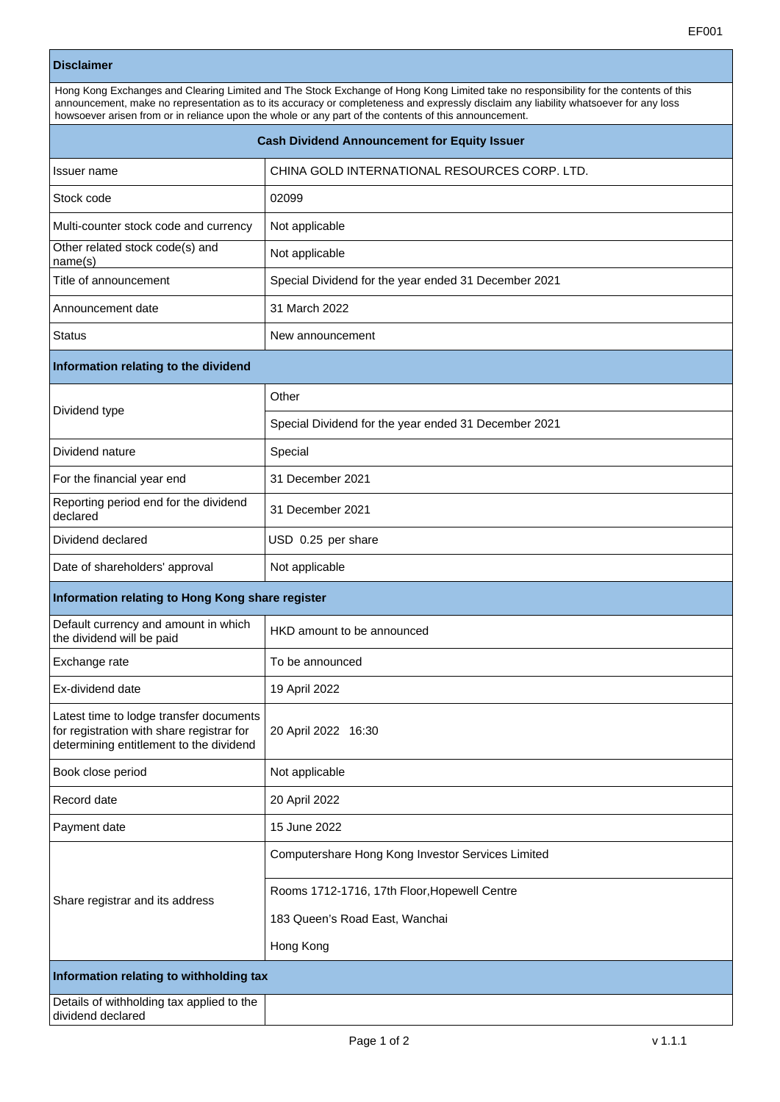## **Disclaimer**

| Hong Kong Exchanges and Clearing Limited and The Stock Exchange of Hong Kong Limited take no responsibility for the contents of this<br>announcement, make no representation as to its accuracy or completeness and expressly disclaim any liability whatsoever for any loss<br>howsoever arisen from or in reliance upon the whole or any part of the contents of this announcement. |                                                      |  |  |  |
|---------------------------------------------------------------------------------------------------------------------------------------------------------------------------------------------------------------------------------------------------------------------------------------------------------------------------------------------------------------------------------------|------------------------------------------------------|--|--|--|
| <b>Cash Dividend Announcement for Equity Issuer</b>                                                                                                                                                                                                                                                                                                                                   |                                                      |  |  |  |
| Issuer name                                                                                                                                                                                                                                                                                                                                                                           | CHINA GOLD INTERNATIONAL RESOURCES CORP. LTD.        |  |  |  |
| Stock code                                                                                                                                                                                                                                                                                                                                                                            | 02099                                                |  |  |  |
| Multi-counter stock code and currency                                                                                                                                                                                                                                                                                                                                                 | Not applicable                                       |  |  |  |
| Other related stock code(s) and<br>name(s)                                                                                                                                                                                                                                                                                                                                            | Not applicable                                       |  |  |  |
| Title of announcement                                                                                                                                                                                                                                                                                                                                                                 | Special Dividend for the year ended 31 December 2021 |  |  |  |
| Announcement date                                                                                                                                                                                                                                                                                                                                                                     | 31 March 2022                                        |  |  |  |
| <b>Status</b>                                                                                                                                                                                                                                                                                                                                                                         | New announcement                                     |  |  |  |
| Information relating to the dividend                                                                                                                                                                                                                                                                                                                                                  |                                                      |  |  |  |
| Dividend type                                                                                                                                                                                                                                                                                                                                                                         | Other                                                |  |  |  |
|                                                                                                                                                                                                                                                                                                                                                                                       | Special Dividend for the year ended 31 December 2021 |  |  |  |
| Dividend nature                                                                                                                                                                                                                                                                                                                                                                       | Special                                              |  |  |  |
| For the financial year end                                                                                                                                                                                                                                                                                                                                                            | 31 December 2021                                     |  |  |  |
| Reporting period end for the dividend<br>declared                                                                                                                                                                                                                                                                                                                                     | 31 December 2021                                     |  |  |  |
| Dividend declared                                                                                                                                                                                                                                                                                                                                                                     | USD 0.25 per share                                   |  |  |  |
| Date of shareholders' approval                                                                                                                                                                                                                                                                                                                                                        | Not applicable                                       |  |  |  |
| Information relating to Hong Kong share register                                                                                                                                                                                                                                                                                                                                      |                                                      |  |  |  |
| Default currency and amount in which<br>the dividend will be paid                                                                                                                                                                                                                                                                                                                     | HKD amount to be announced                           |  |  |  |
| Exchange rate                                                                                                                                                                                                                                                                                                                                                                         | To be announced                                      |  |  |  |
| Ex-dividend date                                                                                                                                                                                                                                                                                                                                                                      | 19 April 2022                                        |  |  |  |
| Latest time to lodge transfer documents<br>for registration with share registrar for<br>determining entitlement to the dividend                                                                                                                                                                                                                                                       | 20 April 2022 16:30                                  |  |  |  |
| Book close period                                                                                                                                                                                                                                                                                                                                                                     | Not applicable                                       |  |  |  |
| Record date                                                                                                                                                                                                                                                                                                                                                                           | 20 April 2022                                        |  |  |  |
| Payment date                                                                                                                                                                                                                                                                                                                                                                          | 15 June 2022                                         |  |  |  |
| Share registrar and its address                                                                                                                                                                                                                                                                                                                                                       | Computershare Hong Kong Investor Services Limited    |  |  |  |
|                                                                                                                                                                                                                                                                                                                                                                                       | Rooms 1712-1716, 17th Floor, Hopewell Centre         |  |  |  |
|                                                                                                                                                                                                                                                                                                                                                                                       | 183 Queen's Road East, Wanchai                       |  |  |  |
|                                                                                                                                                                                                                                                                                                                                                                                       | Hong Kong                                            |  |  |  |
| Information relating to withholding tax                                                                                                                                                                                                                                                                                                                                               |                                                      |  |  |  |
| Details of withholding tax applied to the                                                                                                                                                                                                                                                                                                                                             |                                                      |  |  |  |

dividend declared